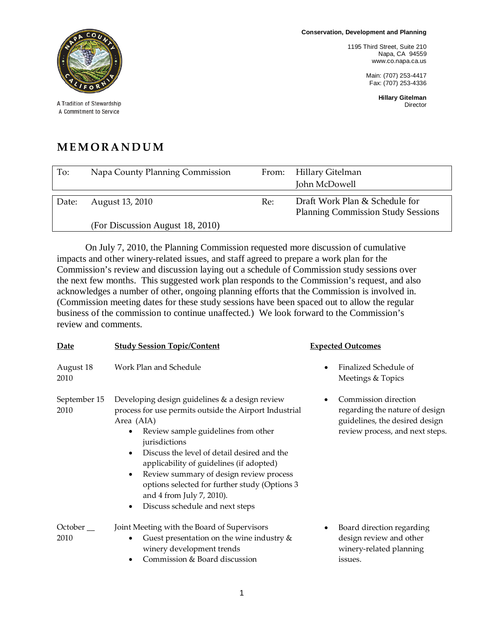**Conservation, Development and Planning**

1195 Third Street, Suite 210 Napa, CA 94559 www.co.napa.ca.us

> Main: (707) 253-4417 Fax: (707) 253-4336

> > **Hillary Gitelman** Director



A Tradition of Stewardship A Commitment to Service

## **MEMORANDUM**

| To:   | Napa County Planning Commission  | From: | Hillary Gitelman                          |
|-------|----------------------------------|-------|-------------------------------------------|
|       |                                  |       | John McDowell                             |
|       |                                  |       |                                           |
| Date: | August 13, 2010                  | Re:   | Draft Work Plan & Schedule for            |
|       |                                  |       | <b>Planning Commission Study Sessions</b> |
|       | (For Discussion August 18, 2010) |       |                                           |
|       |                                  |       |                                           |

On July 7, 2010, the Planning Commission requested more discussion of cumulative impacts and other winery-related issues, and staff agreed to prepare a work plan for the Commission's review and discussion laying out a schedule of Commission study sessions over the next few months. This suggested work plan responds to the Commission's request, and also acknowledges a number of other, ongoing planning efforts that the Commission is involved in. (Commission meeting dates for these study sessions have been spaced out to allow the regular business of the commission to continue unaffected.) We look forward to the Commission's review and comments.

| Date                 | <b>Study Session Topic/Content</b>                                                                                                                                                                                                                                                                                                                                                                                                                                        | <b>Expected Outcomes</b>                                                                                                         |
|----------------------|---------------------------------------------------------------------------------------------------------------------------------------------------------------------------------------------------------------------------------------------------------------------------------------------------------------------------------------------------------------------------------------------------------------------------------------------------------------------------|----------------------------------------------------------------------------------------------------------------------------------|
| August 18<br>2010    | Work Plan and Schedule                                                                                                                                                                                                                                                                                                                                                                                                                                                    | Finalized Schedule of<br>$\bullet$<br>Meetings & Topics                                                                          |
| September 15<br>2010 | Developing design guidelines & a design review<br>process for use permits outside the Airport Industrial<br>Area (AIA)<br>Review sample guidelines from other<br>$\bullet$<br>jurisdictions<br>Discuss the level of detail desired and the<br>$\bullet$<br>applicability of guidelines (if adopted)<br>Review summary of design review process<br>٠<br>options selected for further study (Options 3<br>and 4 from July 7, 2010).<br>Discuss schedule and next steps<br>٠ | Commission direction<br>٠<br>regarding the nature of design<br>guidelines, the desired design<br>review process, and next steps. |
| $October$ __<br>2010 | Joint Meeting with the Board of Supervisors<br>Guest presentation on the wine industry $&$<br>٠<br>winery development trends<br>Commission & Board discussion                                                                                                                                                                                                                                                                                                             | Board direction regarding<br>design review and other<br>winery-related planning<br>issues.                                       |